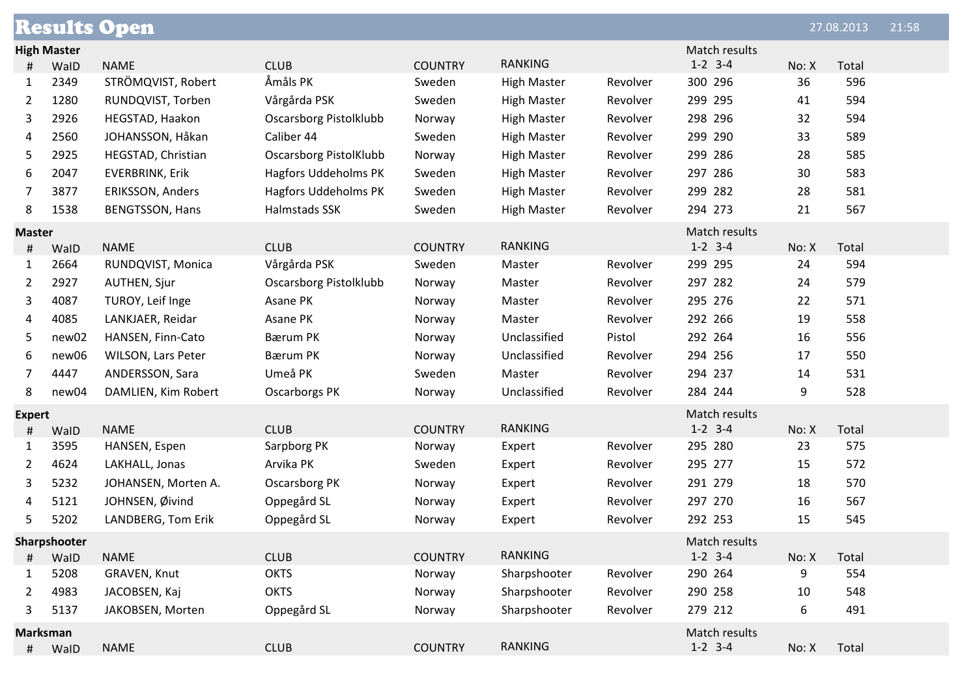| <b>Results Open</b> |                 |                           |                               |                |                    |          | 27.08.2013    | 21:58 |       |  |
|---------------------|-----------------|---------------------------|-------------------------------|----------------|--------------------|----------|---------------|-------|-------|--|
| <b>High Master</b>  |                 |                           |                               |                |                    |          | Match results |       |       |  |
| #                   | WalD            | <b>NAME</b>               | <b>CLUB</b>                   | <b>COUNTRY</b> | <b>RANKING</b>     |          | $1-2$ 3-4     | No: X | Total |  |
| 1                   | 2349            | STRÖMQVIST, Robert        | Åmåls PK                      | Sweden         | <b>High Master</b> | Revolver | 300 296       | 36    | 596   |  |
| 2                   | 1280            | RUNDQVIST, Torben         | Vårgårda PSK                  | Sweden         | <b>High Master</b> | Revolver | 299 295       | 41    | 594   |  |
| 3                   | 2926            | HEGSTAD, Haakon           | <b>Oscarsborg Pistolklubb</b> | Norway         | <b>High Master</b> | Revolver | 298 296       | 32    | 594   |  |
| 4                   | 2560            | JOHANSSON, Håkan          | Caliber 44                    | Sweden         | <b>High Master</b> | Revolver | 299 290       | 33    | 589   |  |
| 5                   | 2925            | HEGSTAD, Christian        | <b>Oscarsborg PistolKlubb</b> | Norway         | <b>High Master</b> | Revolver | 299 286       | 28    | 585   |  |
| 6                   | 2047            | <b>EVERBRINK, Erik</b>    | <b>Hagfors Uddeholms PK</b>   | Sweden         | <b>High Master</b> | Revolver | 297 286       | 30    | 583   |  |
| 7                   | 3877            | ERIKSSON, Anders          | <b>Hagfors Uddeholms PK</b>   | Sweden         | <b>High Master</b> | Revolver | 299 282       | 28    | 581   |  |
| 8                   | 1538            | <b>BENGTSSON, Hans</b>    | Halmstads SSK                 | Sweden         | <b>High Master</b> | Revolver | 294 273       | 21    | 567   |  |
| <b>Master</b>       |                 |                           |                               |                |                    |          | Match results |       |       |  |
| #                   | WalD            | <b>NAME</b>               | <b>CLUB</b>                   | <b>COUNTRY</b> | <b>RANKING</b>     |          | $1-2$ 3-4     | No: X | Total |  |
| 1                   | 2664            | RUNDQVIST, Monica         | Vårgårda PSK                  | Sweden         | Master             | Revolver | 299 295       | 24    | 594   |  |
| 2                   | 2927            | <b>AUTHEN, Sjur</b>       | Oscarsborg Pistolklubb        | Norway         | Master             | Revolver | 297 282       | 24    | 579   |  |
| 3                   | 4087            | TUROY, Leif Inge          | Asane PK                      | Norway         | Master             | Revolver | 295 276       | 22    | 571   |  |
| 4                   | 4085            | LANKJAER, Reidar          | Asane PK                      | Norway         | Master             | Revolver | 292 266       | 19    | 558   |  |
| 5                   | new02           | HANSEN, Finn-Cato         | <b>Bærum PK</b>               | Norway         | Unclassified       | Pistol   | 292 264       | 16    | 556   |  |
| 6                   | new06           | <b>WILSON, Lars Peter</b> | Bærum PK                      | Norway         | Unclassified       | Revolver | 294 256       | 17    | 550   |  |
| 7                   | 4447            | ANDERSSON, Sara           | Umeå PK                       | Sweden         | Master             | Revolver | 294 237       | 14    | 531   |  |
| 8                   | new04           | DAMLIEN, Kim Robert       | <b>Oscarborgs PK</b>          | Norway         | Unclassified       | Revolver | 284 244       | 9     | 528   |  |
| <b>Expert</b>       |                 |                           |                               |                |                    |          | Match results |       |       |  |
| #                   | WalD            | <b>NAME</b>               | <b>CLUB</b>                   | <b>COUNTRY</b> | <b>RANKING</b>     |          | $1-2$ 3-4     | No: X | Total |  |
| 1                   | 3595            | HANSEN, Espen             | Sarpborg PK                   | Norway         | Expert             | Revolver | 295 280       | 23    | 575   |  |
| 2                   | 4624            | LAKHALL, Jonas            | Arvika PK                     | Sweden         | Expert             | Revolver | 295 277       | 15    | 572   |  |
| 3                   | 5232            | JOHANSEN, Morten A.       | Oscarsborg PK                 | Norway         | Expert             | Revolver | 291 279       | 18    | 570   |  |
| 4                   | 5121            | JOHNSEN, Øivind           | Oppegård SL                   | Norway         | Expert             | Revolver | 297 270       | 16    | 567   |  |
| 5                   | 5202            | LANDBERG, Tom Erik        | Oppegård SL                   | Norway         | Expert             | Revolver | 292 253       | 15    | 545   |  |
| Sharpshooter        |                 |                           |                               |                |                    |          | Match results |       |       |  |
| #                   | WalD            | <b>NAME</b>               | <b>CLUB</b>                   | <b>COUNTRY</b> | <b>RANKING</b>     |          | $1-2$ 3-4     | No: X | Total |  |
| $\mathbf{1}$        | 5208            | GRAVEN, Knut              | <b>OKTS</b>                   | Norway         | Sharpshooter       | Revolver | 290 264       | 9     | 554   |  |
| 2                   | 4983            | JACOBSEN, Kaj             | <b>OKTS</b>                   | Norway         | Sharpshooter       | Revolver | 290 258       | 10    | 548   |  |
| 3                   | 5137            | JAKOBSEN, Morten          | Oppegård SL                   | Norway         | Sharpshooter       | Revolver | 279 212       | 6     | 491   |  |
|                     | <b>Marksman</b> |                           |                               |                |                    |          | Match results |       |       |  |
| #                   | WalD            | <b>NAME</b>               | <b>CLUB</b>                   | <b>COUNTRY</b> | <b>RANKING</b>     |          | $1-2$ 3-4     | No: X | Total |  |
|                     |                 |                           |                               |                |                    |          |               |       |       |  |